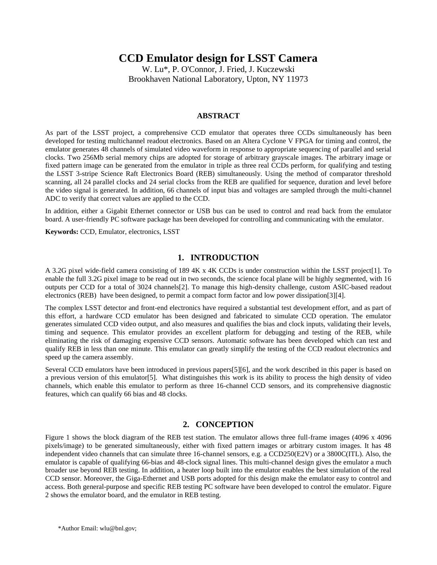# **CCD Emulator design for LSST Camera**

W. Lu\*, P. O'Connor, J. Fried, J. Kuczewski Brookhaven National Laboratory, Upton, NY 11973

# **ABSTRACT**

As part of the LSST project, a comprehensive CCD emulator that operates three CCDs simultaneously has been developed for testing multichannel readout electronics. Based on an Altera Cyclone V FPGA for timing and control, the emulator generates 48 channels of simulated video waveform in response to appropriate sequencing of parallel and serial clocks. Two 256Mb serial memory chips are adopted for storage of arbitrary grayscale images. The arbitrary image or fixed pattern image can be generated from the emulator in triple as three real CCDs perform, for qualifying and testing the LSST 3-stripe Science Raft Electronics Board (REB) simultaneously. Using the method of comparator threshold scanning, all 24 parallel clocks and 24 serial clocks from the REB are qualified for sequence, duration and level before the video signal is generated. In addition, 66 channels of input bias and voltages are sampled through the multi-channel ADC to verify that correct values are applied to the CCD.

In addition, either a Gigabit Ethernet connector or USB bus can be used to control and read back from the emulator board. A user-friendly PC software package has been developed for controlling and communicating with the emulator.

**Keywords:** CCD, Emulator, electronics, LSST

# **1. INTRODUCTION**

A 3.2G pixel wide-field camera consisting of 189 4K x 4K CCDs is under construction within the LSST project[1]. To enable the full 3.2G pixel image to be read out in two seconds, the science focal plane will be highly segmented, with 16 outputs per CCD for a total of 3024 channels[2]. To manage this high-density challenge, custom ASIC-based readout electronics (REB) have been designed, to permit a compact form factor and low power dissipation[3][4].

The complex LSST detector and front-end electronics have required a substantial test development effort, and as part of this effort, a hardware CCD emulator has been designed and fabricated to simulate CCD operation. The emulator generates simulated CCD video output, and also measures and qualifies the bias and clock inputs, validating their levels, timing and sequence. This emulator provides an excellent platform for debugging and testing of the REB, while eliminating the risk of damaging expensive CCD sensors. Automatic software has been developed which can test and qualify REB in less than one minute. This emulator can greatly simplify the testing of the CCD readout electronics and speed up the camera assembly.

Several CCD emulators have been introduced in previous papers[5][6], and the work described in this paper is based on a previous version of this emulator[5]. What distinguishes this work is its ability to process the high density of video channels, which enable this emulator to perform as three 16-channel CCD sensors, and its comprehensive diagnostic features, which can qualify 66 bias and 48 clocks.

# **2. CONCEPTION**

Figure 1 shows the block diagram of the REB test station. The emulator allows three full-frame images (4096 x 4096 pixels/image) to be generated simultaneously, either with fixed pattern images or arbitrary custom images. It has 48 independent video channels that can simulate three 16-channel sensors, e.g. a CCD250(E2V) or a 3800C(ITL). Also, the emulator is capable of qualifying 66-bias and 48-clock signal lines. This multi-channel design gives the emulator a much broader use beyond REB testing. In addition, a heater loop built into the emulator enables the best simulation of the real CCD sensor. Moreover, the Giga-Ethernet and USB ports adopted for this design make the emulator easy to control and access. Both general-purpose and specific REB testing PC software have been developed to control the emulator. Figure 2 shows the emulator board, and the emulator in REB testing.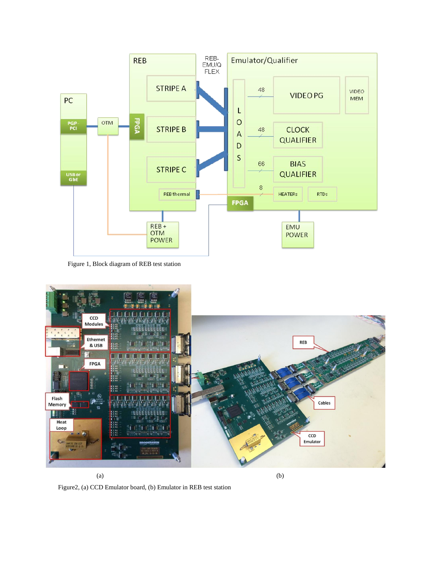

Figure 1, Block diagram of REB test station



Figure2, (a) CCD Emulator board, (b) Emulator in REB test station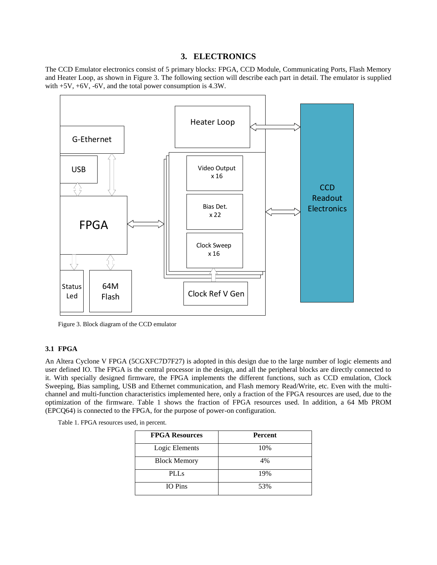# **3. ELECTRONICS**

The CCD Emulator electronics consist of 5 primary blocks: FPGA, CCD Module, Communicating Ports, Flash Memory and Heater Loop, as shown in Figure 3. The following section will describe each part in detail. The emulator is supplied with +5V, +6V, -6V, and the total power consumption is 4.3W.



Figure 3. Block diagram of the CCD emulator

# **3.1 FPGA**

An Altera Cyclone V FPGA (5CGXFC7D7F27) is adopted in this design due to the large number of logic elements and user defined IO. The FPGA is the central processor in the design, and all the peripheral blocks are directly connected to it. With specially designed firmware, the FPGA implements the different functions, such as CCD emulation, Clock Sweeping, Bias sampling, USB and Ethernet communication, and Flash memory Read/Write, etc. Even with the multichannel and multi-function characteristics implemented here, only a fraction of the FPGA resources are used, due to the optimization of the firmware. Table 1 shows the fraction of FPGA resources used. In addition, a 64 Mb PROM (EPCQ64) is connected to the FPGA, for the purpose of power-on configuration.

Table 1. FPGA resources used, in percent.

| <b>FPGA Resources</b> | <b>Percent</b> |
|-----------------------|----------------|
| Logic Elements        | 10%            |
| <b>Block Memory</b>   | 4%             |
| PLL <sub>s</sub>      | 19%            |
| <b>IO</b> Pins        | 53%            |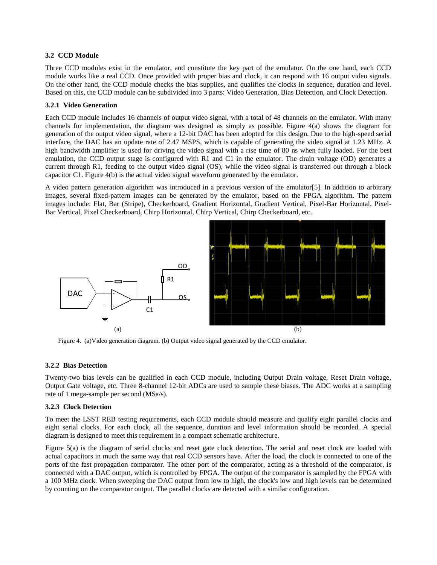## **3.2 CCD Module**

Three CCD modules exist in the emulator, and constitute the key part of the emulator. On the one hand, each CCD module works like a real CCD. Once provided with proper bias and clock, it can respond with 16 output video signals. On the other hand, the CCD module checks the bias supplies, and qualifies the clocks in sequence, duration and level. Based on this, the CCD module can be subdivided into 3 parts: Video Generation, Bias Detection, and Clock Detection.

## **3.2.1 Video Generation**

Each CCD module includes 16 channels of output video signal, with a total of 48 channels on the emulator. With many channels for implementation, the diagram was designed as simply as possible. Figure 4(a) shows the diagram for generation of the output video signal, where a 12-bit DAC has been adopted for this design. Due to the high-speed serial interface, the DAC has an update rate of 2.47 MSPS, which is capable of generating the video signal at 1.23 MHz. A high bandwidth amplifier is used for driving the video signal with a rise time of 80 ns when fully loaded. For the best emulation, the CCD output stage is configured with R1 and C1 in the emulator. The drain voltage (OD) generates a current through R1, feeding to the output video signal (OS), while the video signal is transferred out through a block capacitor C1. Figure 4(b) is the actual video signal waveform generated by the emulator.

A video pattern generation algorithm was introduced in a previous version of the emulator[5]. In addition to arbitrary images, several fixed-pattern images can be generated by the emulator, based on the FPGA algorithm. The pattern images include: Flat, Bar (Stripe), Checkerboard, Gradient Horizontal, Gradient Vertical, Pixel-Bar Horizontal, Pixel-Bar Vertical, Pixel Checkerboard, Chirp Horizontal, Chirp Vertical, Chirp Checkerboard, etc.



Figure 4. (a)Video generation diagram. (b) Output video signal generated by the CCD emulator.

#### **3.2.2 Bias Detection**

Twenty-two bias levels can be qualified in each CCD module, including Output Drain voltage, Reset Drain voltage, Output Gate voltage, etc. Three 8-channel 12-bit ADCs are used to sample these biases. The ADC works at a sampling rate of 1 mega-sample per second (MSa/s).

#### **3.2.3 Clock Detection**

To meet the LSST REB testing requirements, each CCD module should measure and qualify eight parallel clocks and eight serial clocks. For each clock, all the sequence, duration and level information should be recorded. A special diagram is designed to meet this requirement in a compact schematic architecture.

Figure 5(a) is the diagram of serial clocks and reset gate clock detection. The serial and reset clock are loaded with actual capacitors in much the same way that real CCD sensors have. After the load, the clock is connected to one of the ports of the fast propagation comparator. The other port of the comparator, acting as a threshold of the comparator, is connected with a DAC output, which is controlled by FPGA. The output of the comparator is sampled by the FPGA with a 100 MHz clock. When sweeping the DAC output from low to high, the clock's low and high levels can be determined by counting on the comparator output. The parallel clocks are detected with a similar configuration.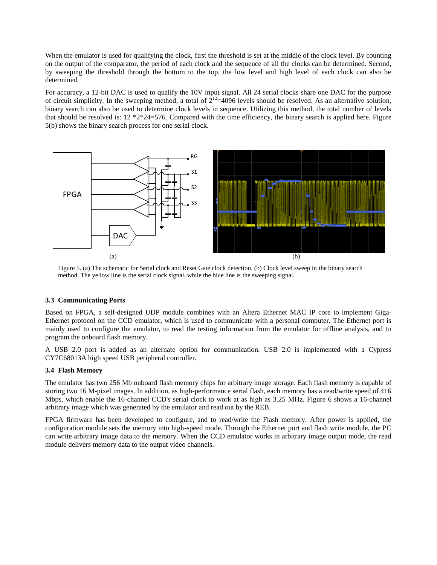When the emulator is used for qualifying the clock, first the threshold is set at the middle of the clock level. By counting on the output of the comparator, the period of each clock and the sequence of all the clocks can be determined. Second, by sweeping the threshold through the bottom to the top, the low level and high level of each clock can also be determined.

For accuracy, a 12-bit DAC is used to qualify the 10V input signal. All 24 serial clocks share one DAC for the purpose of circuit simplicity. In the sweeping method, a total of  $2^{12}$ =4096 levels should be resolved. As an alternative solution, binary search can also be used to determine clock levels in sequence. Utilizing this method, the total number of levels that should be resolved is:  $12 *2 *24=576$ . Compared with the time efficiency, the binary search is applied here. Figure 5(b) shows the binary search process for one serial clock.



Figure 5. (a) The schematic for Serial clock and Reset Gate clock detection. (b) Clock level sweep in the binary search method. The yellow line is the serial clock signal, while the blue line is the sweeping signal.

#### **3.3 Communicating Ports**

Based on FPGA, a self-designed UDP module combines with an Altera Ethernet MAC IP core to implement Giga-Ethernet protocol on the CCD emulator, which is used to communicate with a personal computer. The Ethernet port is mainly used to configure the emulator, to read the testing information from the emulator for offline analysis, and to program the onboard flash memory.

A USB 2.0 port is added as an alternate option for communication. USB 2.0 is implemented with a Cypress CY7C68013A high speed USB peripheral controller.

#### **3.4 Flash Memory**

The emulator has two 256 Mb onboard flash memory chips for arbitrary image storage. Each flash memory is capable of storing two 16 M-pixel images. In addition, as high-performance serial flash, each memory has a read/write speed of 416 Mbps, which enable the 16-channel CCD's serial clock to work at as high as 3.25 MHz. Figure 6 shows a 16-channel arbitrary image which was generated by the emulator and read out by the REB.

FPGA firmware has been developed to configure, and to read/write the Flash memory. After power is applied, the configuration module sets the memory into high-speed mode. Through the Ethernet port and flash write module, the PC can write arbitrary image data to the memory. When the CCD emulator works in arbitrary image output mode, the read module delivers memory data to the output video channels.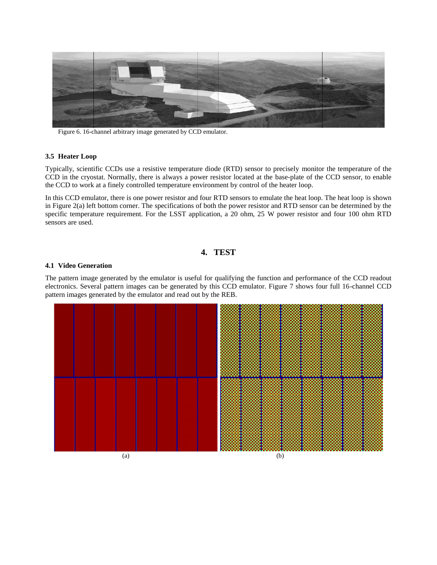

Figure 6. 16-channel arbitrary image generated by CCD emulator.

#### **3.5 Heater Loop**

Typically, scientific CCDs use a resistive temperature diode (RTD) sensor to precisely monitor the temperature of the CCD in the cryostat. Normally, there is always a power resistor located at the base-plate of the CCD sensor, to enable the CCD to work at a finely controlled temperature environment by control of the heater loop.

In this CCD emulator, there is one power resistor and four RTD sensors to emulate the heat loop. The heat loop is shown in Figure 2(a) left bottom corner. The specifications of both the power resistor and RTD sensor can be determined by the specific temperature requirement. For the LSST application, a 20 ohm, 25 W power resistor and four 100 ohm RTD sensors are used.

# **4. TEST**

#### **4.1 Video Generation**

The pattern image generated by the emulator is useful for qualifying the function and performance of the CCD readout electronics. Several pattern images can be generated by this CCD emulator. Figure 7 shows four full 16-channel CCD pattern images generated by the emulator and read out by the REB.

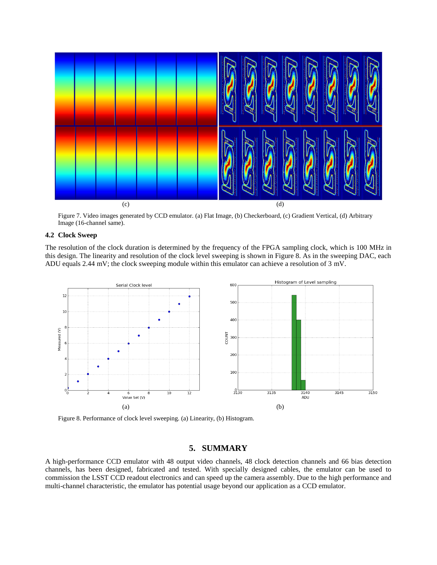

Figure 7. Video images generated by CCD emulator. (a) Flat Image, (b) Checkerboard, (c) Gradient Vertical, (d) Arbitrary Image (16-channel same).

# **4.2 Clock Sweep**

The resolution of the clock duration is determined by the frequency of the FPGA sampling clock, which is 100 MHz in this design. The linearity and resolution of the clock level sweeping is shown in Figure 8. As in the sweeping DAC, each ADU equals 2.44 mV; the clock sweeping module within this emulator can achieve a resolution of 3 mV.



Figure 8. Performance of clock level sweeping. (a) Linearity, (b) Histogram.

# **5. SUMMARY**

A high-performance CCD emulator with 48 output video channels, 48 clock detection channels and 66 bias detection channels, has been designed, fabricated and tested. With specially designed cables, the emulator can be used to commission the LSST CCD readout electronics and can speed up the camera assembly. Due to the high performance and multi-channel characteristic, the emulator has potential usage beyond our application as a CCD emulator.